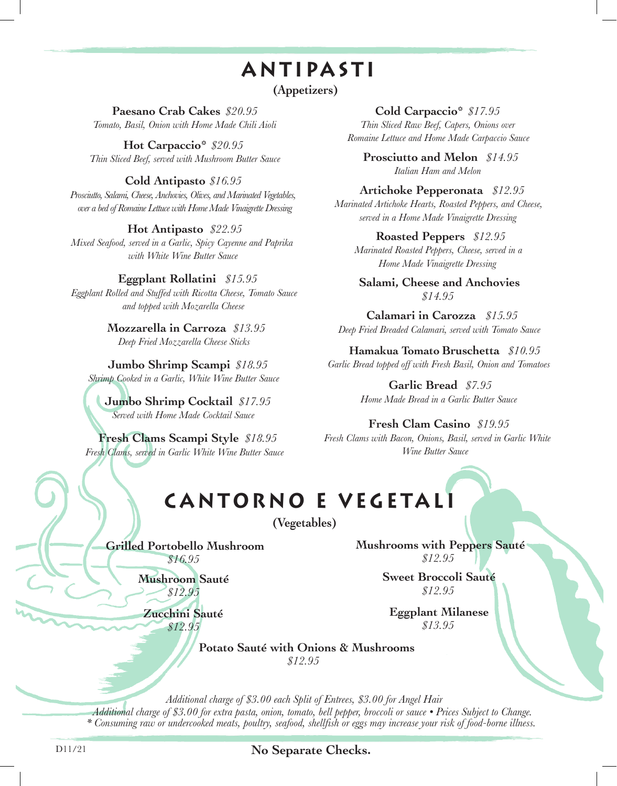### **ANTIPA S TI**

**(Appetizers)**

**Paesano Crab Cakes** *\$20.95 Tomato, Basil, Onion with Home Made Chili Aioli*

**Hot Carpaccio\*** *\$20.95 Thin Sliced Beef, served with Mushroom Butter Sauce*

#### **Cold Antipasto** *\$16.95*

*Prosciutto, Salami, Cheese, Anchovies, Olives, and Marinated Vegetables, over a bed of Romaine Lettuce with Home Made Vinaigrette Dressing*

#### **Hot Antipasto** *\$22.95*

*Mixed Seafood, served in a Garlic, Spicy Cayenne and Paprika with White Wine Butter Sauce*

#### **Eggplant Rollatini** *\$15.95*

*Eggplant Rolled and Stuffed with Ricotta Cheese, Tomato Sauce and topped with Mozarella Cheese*

> **Mozzarella in Carroza** *\$13.95 Deep Fried Mozzarella Cheese Sticks*

**Jumbo Shrimp Scampi** *\$18.95 Shrimp Cooked in a Garlic, White Wine Butter Sauce*

**Jumbo Shrimp Cocktail** *\$17.95 Served with Home Made Cocktail Sauce*

**Fresh Clams Scampi Style** *\$18.95 Fresh Clams, served in Garlic White Wine Butter Sauce*

**Cold Carpaccio\*** *\$17.95 Thin Sliced Raw Beef, Capers, Onions over Romaine Lettuce and Home Made Carpaccio Sauce*

**Prosciutto and Melon** *\$14.95 Italian Ham and Melon* 

#### **Artichoke Pepperonata** *\$12.95*

*Marinated Artichoke Hearts, Roasted Peppers, and Cheese, served in a Home Made Vinaigrette Dressing* 

**Roasted Peppers** *\$12.95*

*Marinated Roasted Peppers, Cheese, served in a Home Made Vinaigrette Dressing*

**Salami, Cheese and Anchovies** *\$14.95*

**Calamari in Carozza** *\$15.95 Deep Fried Breaded Calamari, served with Tomato Sauce*

**Hamakua Tomato Bruschetta** *\$10.95 Garlic Bread topped off with Fresh Basil, Onion and Tomatoes*

> **Garlic Bread** *\$7.95 Home Made Bread in a Garlic Butter Sauce*

#### **Fresh Clam Casino** *\$19.95 Fresh Clams with Bacon, Onions, Basil, served in Garlic White*

*Wine Butter Sauce*

# **CANTORNO E VEGETA L I**

**(Vegetables)**

**Grilled Portobello Mushroom** *\$16.95*

> **Mushroom Sauté** *\$12.95*

**Zucchini Sauté** *\$12.95*

**Mushrooms with Peppers Sauté** *\$12.95*

> **Sweet Broccoli Sauté** *\$12.95*

**Eggplant Milanese** *\$13.95*

**Potato Sauté with Onions & Mushrooms** *\$12.95*

*Additional charge of \$3.00 each Split of Entrees, \$3.00 for Angel Hair Additional charge of \$3.00 for extra pasta, onion, tomato, bell pepper, broccoli or sauce • Prices Subject to Change. \* Consuming raw or undercooked meats, poultry, seafood, shellfish or eggs may increase your risk of food-borne illness.*

D11/21 **No Separate Checks.**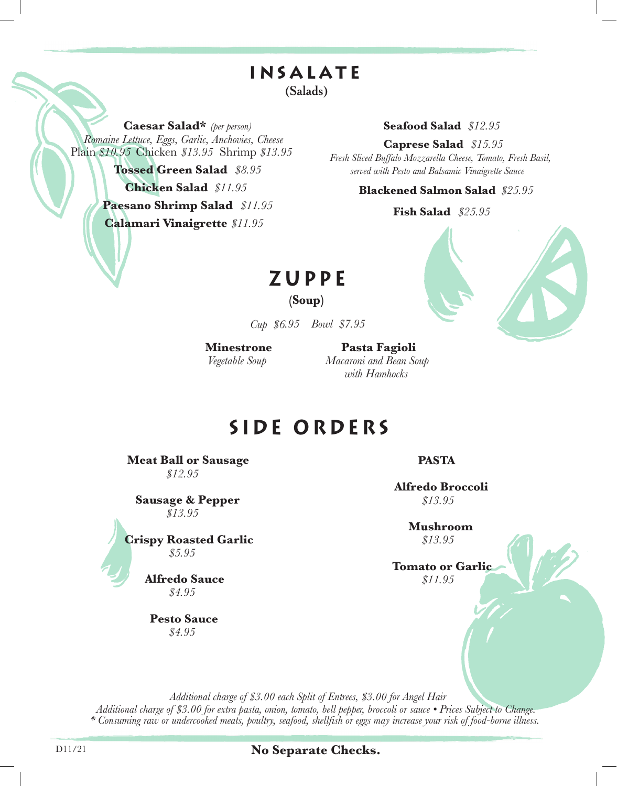# **insalate**

**(Salads)**

**Caesar Salad\*** *(per person) Romaine Lettuce, Eggs, Garlic, Anchovies, Cheese* Plain *\$10.95* Chicken *\$13.95* Shrimp *\$13.95*

> *\$11.95* **Calamari Vinaigrette Tossed Green Salad** *\$8.95* **Chicken Salad** *\$11.95* **Paesano Shrimp Salad** *\$11.95*

#### **Seafood Salad** *\$12.95*

**Caprese Salad** *\$15.95*

*Fresh Sliced Buffalo Mozzarella Cheese, Tomato, Fresh Basil, served with Pesto and Balsamic Vinaigrette Sauce*

#### **Blackened Salmon Salad**   *\$25.95*

#### **Fish Salad**   *\$25.95*



## **ZUPPE**

**(Soup)**

*Cup \$6.95 Bowl \$7.95*

**Minestrone** *Vegetable Soup*

**Pasta Fagioli** *Macaroni and Bean Soup with Hamhocks*

### **SIDE ORDERS**

**Meat Ball or Sausage** *\$12.95*

**Sausage & Pepper** *\$13.95*

**Crispy Roasted Garlic** *\$5.95*

> **Alfredo Sauce** *\$4.95*

**Pesto Sauce** *\$4.95*

**PASTA**

**Alfredo Broccoli** *\$13.95*

> **Mushroom** *\$13.95*

**Tomato or Garlic** *\$11.95*

*Additional charge of \$3.00 each Split of Entrees, \$3.00 for Angel Hair Additional charge of \$3.00 for extra pasta, onion, tomato, bell pepper, broccoli or sauce • Prices Subject to Change. \* Consuming raw or undercooked meats, poultry, seafood, shellfish or eggs may increase your risk of food-borne illness.*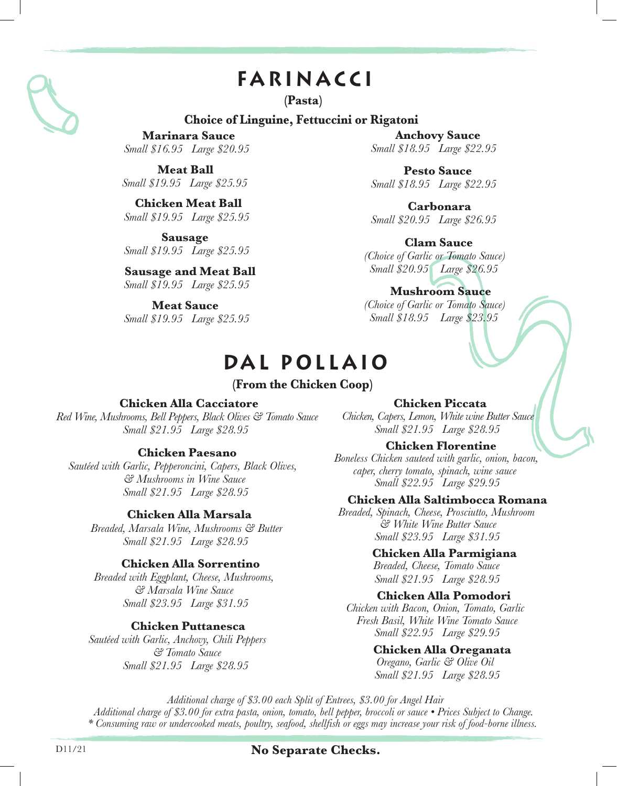## **FARINA CCI**

**(Pasta)**

#### **Choice of Linguine, Fettuccini or Rigatoni**

**Marinara Sauce** *Small \$16.95 Large \$20.95*

**Meat Ball** *Small \$19.95 Large \$25.95*

**Chicken Meat Ball** *Small \$19.95 Large \$25.95*

**Sausage** *Small \$19.95 Large \$25.95*

**Sausage and Meat Ball** *Small \$19.95 Large \$25.95*

**Meat Sauce** *Small \$19.95 Large \$25.95*

**Anchovy Sauce** *Small \$18.95 Large \$22.95*

**Pesto Sauce** *Small \$18.95 Large \$22.95*

**Carbonara** *Small \$20.95 Large \$26.95*

**Clam Sauce**  *(Choice of Garlic or Tomato Sauce) Small \$20.95 Large \$26.95*

**Mushroom Sauce** *(Choice of Garlic or Tomato Sauce) Small \$18.95 Large \$23.95*

### **DA L P O LLAI O**

#### **(From the Chicken Coop)**

#### **Chicken Alla Cacciatore**

*Red Wine, Mushrooms, Bell Peppers, Black Olives & Tomato Sauce Small \$21.95 Large \$28.95*

#### **Chicken Paesano**

*Sautéed with Garlic, Pepperoncini, Capers, Black Olives, & Mushrooms in Wine Sauce Small \$21.95 Large \$28.95*

#### **Chicken Alla Marsala**

*Breaded, Marsala Wine, Mushrooms & Butter Small \$21.95 Large \$28.95*

#### **Chicken Alla Sorrentino**

*Breaded with Eggplant, Cheese, Mushrooms, & Marsala Wine Sauce Small \$23.95 Large \$31.95*

#### **Chicken Puttanesca**

*Sautéed with Garlic, Anchovy, Chili Peppers & Tomato Sauce Small \$21.95 Large \$28.95*

**Chicken Piccata**

*Chicken, Capers, Lemon, White wine Butter Sauce Small \$21.95 Large \$28.95*

#### **Chicken Florentine**

*Boneless Chicken sauteed with garlic, onion, bacon, caper, cherry tomato, spinach, wine sauce Small \$22.95 Large \$29.95*

#### **Chicken Alla Saltimbocca Romana**

*Breaded, Spinach, Cheese, Prosciutto, Mushroom & White Wine Butter Sauce Small \$23.95 Large \$31.95*

#### **Chicken Alla Parmigiana**

*Breaded, Cheese, Tomato Sauce Small \$21.95 Large \$28.95*

#### **Chicken Alla Pomodori**

*Chicken with Bacon, Onion, Tomato, Garlic Fresh Basil, White Wine Tomato Sauce Small \$22.95 Large \$29.95*

#### **Chicken Alla Oreganata**

*Oregano, Garlic & Olive Oil Small \$21.95 Large \$28.95*

*Additional charge of \$3.00 each Split of Entrees, \$3.00 for Angel Hair Additional charge of \$3.00 for extra pasta, onion, tomato, bell pepper, broccoli or sauce • Prices Subject to Change. \* Consuming raw or undercooked meats, poultry, seafood, shellfish or eggs may increase your risk of food-borne illness.*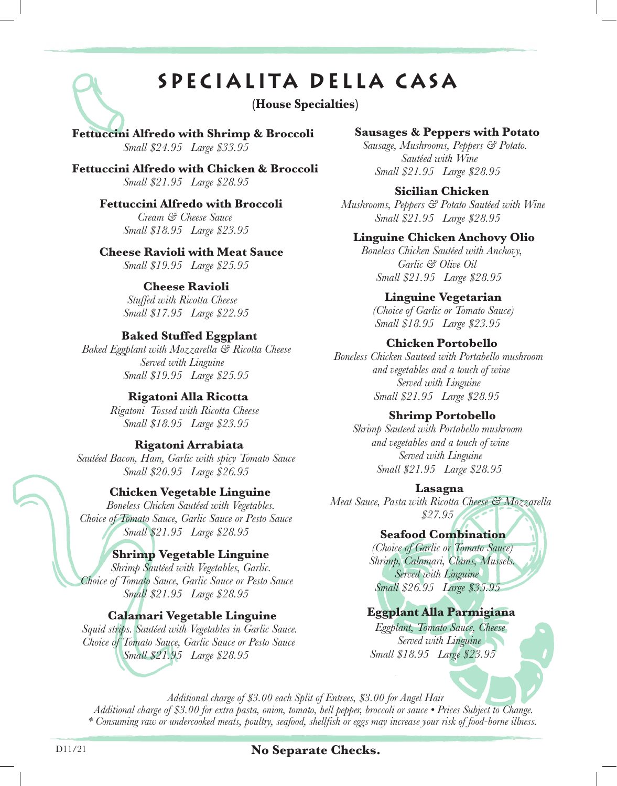## **SPECIALITA DELLA C A S A**

#### **(House Specialties)**

#### **Fettuccini Alfredo with Shrimp & Broccoli** *Small \$24.95 Large \$33.95*

**Fettuccini Alfredo with Chicken & Broccoli** *Small \$21.95 Large \$28.95*

#### **Fettuccini Alfredo with Broccoli**

*Cream & Cheese Sauce Small \$18.95 Large \$23.95*

#### **Cheese Ravioli with Meat Sauce**

*Small \$19.95 Large \$25.95*

#### **Cheese Ravioli**

*Stuffed with Ricotta Cheese Small \$17.95 Large \$22.95*

#### **Baked Stuffed Eggplant**

*Baked Eggplant with Mozzarella & Ricotta Cheese Served with Linguine Small \$19.95 Large \$25.95*

#### **Rigatoni Alla Ricotta**

*Rigatoni Tossed with Ricotta Cheese Small \$18.95 Large \$23.95*

#### **Rigatoni Arrabiata**

*Sautéed Bacon, Ham, Garlic with spicy Tomato Sauce Small \$20.95 Large \$26.95*

#### **Chicken Vegetable Linguine**

*Boneless Chicken Sautéed with Vegetables. Choice of Tomato Sauce, Garlic Sauce or Pesto Sauce Small \$21.95 Large \$28.95*

#### **Shrimp Vegetable Linguine**

*Shrimp Sautéed with Vegetables, Garlic. Choice of Tomato Sauce, Garlic Sauce or Pesto Sauce Small \$21.95 Large \$28.95*

#### **Calamari Vegetable Linguine**

*Squid strips. Sautéed with Vegetables in Garlic Sauce. Choice of Tomato Sauce, Garlic Sauce or Pesto Sauce Small \$21.95 Large \$28.95*

#### **Sausages & Peppers with Potato**

*Sausage, Mushrooms, Peppers & Potato. Sautéed with Wine Small \$21.95 Large \$28.95*

#### **Sicilian Chicken**

*Mushrooms, Peppers & Potato Sautéed with Wine Small \$21.95 Large \$28.95*

#### **Linguine Chicken Anchovy Olio**

*Boneless Chicken Sautéed with Anchovy, Garlic & Olive Oil Small \$21.95 Large \$28.95*

#### **Linguine Vegetarian**

*(Choice of Garlic or Tomato Sauce) Small \$18.95 Large \$23.95*

#### **Chicken Portobello**

*Boneless Chicken Sauteed with Portabello mushroom and vegetables and a touch of wine Served with Linguine Small \$21.95 Large \$28.95*

#### **Shrimp Portobello**

*Shrimp Sauteed with Portabello mushroom and vegetables and a touch of wine Served with Linguine Small \$21.95 Large \$28.95*

#### **Lasagna**

*Meat Sauce, Pasta with Ricotta Cheese & Mozzarella \$27.95*

#### **Seafood Combination**

*(Choice of Garlic or Tomato Sauce) Shrimp, Calamari, Clams, Mussels. Served with Linguine Small \$26.95 Large \$35.95*

#### **Eggplant Alla Parmigiana**

*Eggplant, Tomato Sauce, Cheese Served with Linguine Small \$18.95 Large \$23.95*

*Additional charge of \$3.00 each Split of Entrees, \$3.00 for Angel Hair*

*Additional charge of \$3.00 for extra pasta, onion, tomato, bell pepper, broccoli or sauce • Prices Subject to Change. \* Consuming raw or undercooked meats, poultry, seafood, shellfish or eggs may increase your risk of food-borne illness.*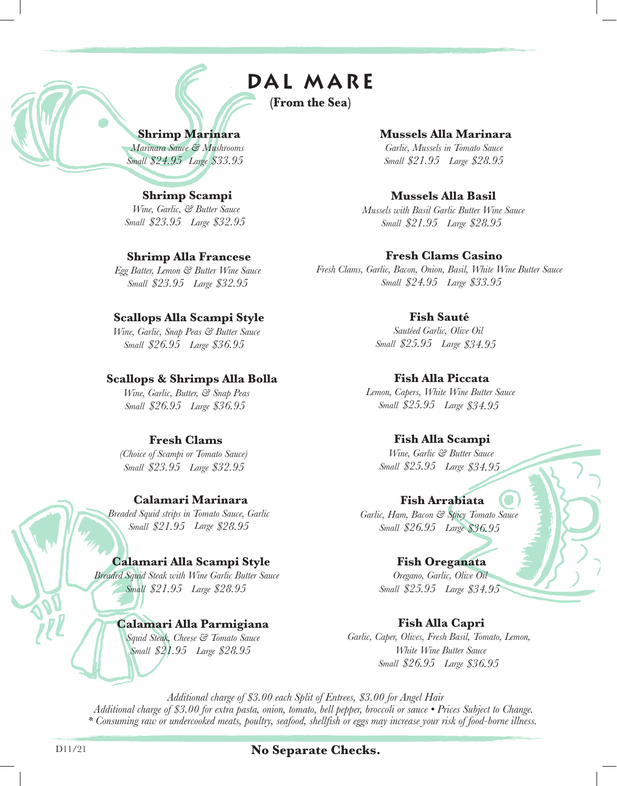## **DAL MAR E**

**(From the Sea)**

#### **Shrimp Marinara**

*Marinara Sauce & Mushrooms Small \$24.95 Large \$33.95*

#### **Shrimp Scampi**

*Wine, Garlic, & Butter Sauce Small \$23.95 Large \$32.95*

#### **Shrimp Alla Francese**

*Egg Batter, Lemon & Butter Wine Sauce Small \$23.95 Large \$32.95*

#### **Scallops Alla Scampi Style**

*Wine, Garlic, Snap Peas & Butter Sauce Small \$26.95 Large \$36.95*

#### **Scallops & Shrimps Alla Bolla**

*Wine, Garlic, Butter, & Snap Peas Small \$26.95 Large \$36.95*

#### **Fresh Clams**

*(Choice of Scampi or Tomato Sauce) Small \$23.95 Large \$32.95*

#### **Calamari Marinara**

*Breaded Squid strips in Tomato Sauce, Garlic Small \$21.95 Large \$28.95* 

#### **Calamari Alla Scampi Style**

*Breaded Squid Steak with Wine Garlic Butter Sauce Small \$21.95 Large \$28.95* 

#### **Calamari Alla Parmigiana**

*Squid Steak, Cheese & Tomato Sauce Small \$21.95 Large \$28.95* 

**Mussels Alla Marinara**

*Garlic, Mussels in Tomato Sauce Small \$21.95 Large \$28.95* 

#### **Mussels Alla Basil**

*Mussels with Basil Garlic Butter Wine Sauce Small \$21.95 Large \$28.95* 

#### **Fresh Clams Casino**

*Fresh Clams, Garlic, Bacon, Onion, Basil, White Wine Butter Sauce Small \$24.95 Large \$33.95*

#### **Fish Sauté**

*Sautéed Garlic, Olive Oil Small \$25.95 Large \$34.95*

#### **Fish Alla Piccata**

*Lemon, Capers, White Wine Butter Sauce Small \$25.95 Large \$34.95*

#### **Fish Alla Scampi**

*Wine, Garlic & Butter Sauce Small \$25.95 Large \$34.95*

#### **Fish Arrabiata**

*Garlic, Ham, Bacon & Spicy Tomato Sauce Small \$26.95 Large \$36.95*

#### **Fish Oreganata**

*Oregano, Garlic, Olive Oil Small \$25.95 Large \$34.95*

#### **Fish Alla Capri**

*Garlic, Caper, Olives, Fresh Basil, Tomato, Lemon, White Wine Butter Sauce Small \$26.95 Large \$36.95*

*Additional charge of \$3.00 each Split of Entrees, \$3.00 for Angel Hair Additional charge of \$3.00 for extra pasta, onion, tomato, bell pepper, broccoli or sauce • Prices Subject to Change. \* Consuming raw or undercooked meats, poultry, seafood, shellfish or eggs may increase your risk of food-borne illness.*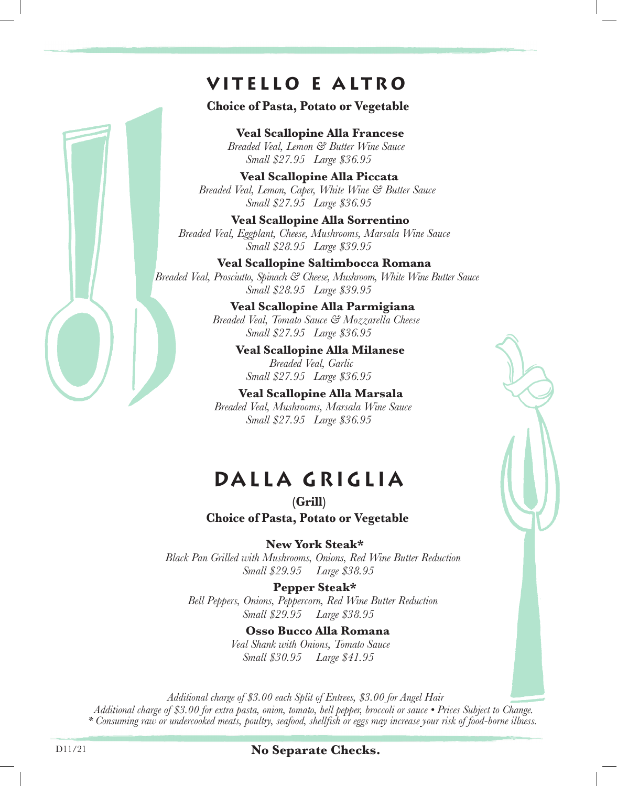### **vitello e a lt r o**

**Choice of Pasta, Potato or Vegetable**

**Veal Scallopine Alla Francese** *Breaded Veal, Lemon & Butter Wine Sauce Small \$27.95 Large \$36.95*

**Veal Scallopine Alla Piccata** *Breaded Veal, Lemon, Caper, White Wine & Butter Sauce Small \$27.95 Large \$36.95*

**Veal Scallopine Alla Sorrentino** *Breaded Veal, Eggplant, Cheese, Mushrooms, Marsala Wine Sauce Small \$28.95 Large \$39.95*

**Veal Scallopine Saltimbocca Romana** *Breaded Veal, Prosciutto, Spinach & Cheese, Mushroom, White Wine Butter Sauce Small \$28.95 Large \$39.95*

> **Veal Scallopine Alla Parmigiana** *Breaded Veal, Tomato Sauce & Mozzarella Cheese Small \$27.95 Large \$36.95*

> > **Veal Scallopine Alla Milanese** *Breaded Veal, Garlic Small \$27.95 Large \$36.95*

**Veal Scallopine Alla Marsala** *Breaded Veal, Mushrooms, Marsala Wine Sauce Small \$27.95 Large \$36.95*

## **DALLA GRIGLI A**

**(Grill) Choice of Pasta, Potato or Vegetable**

**New York Steak\***

*Black Pan Grilled with Mushrooms, Onions, Red Wine Butter Reduction Small \$29.95 Large \$38.95*

**Pepper Steak\*** *Bell Peppers, Onions, Peppercorn, Red Wine Butter Reduction Small \$29.95 Large \$38.95*

> **Osso Bucco Alla Romana** *Veal Shank with Onions, Tomato Sauce Small \$30.95 Large \$41.95*

*Additional charge of \$3.00 each Split of Entrees, \$3.00 for Angel Hair Additional charge of \$3.00 for extra pasta, onion, tomato, bell pepper, broccoli or sauce • Prices Subject to Change. \* Consuming raw or undercooked meats, poultry, seafood, shellfish or eggs may increase your risk of food-borne illness.*

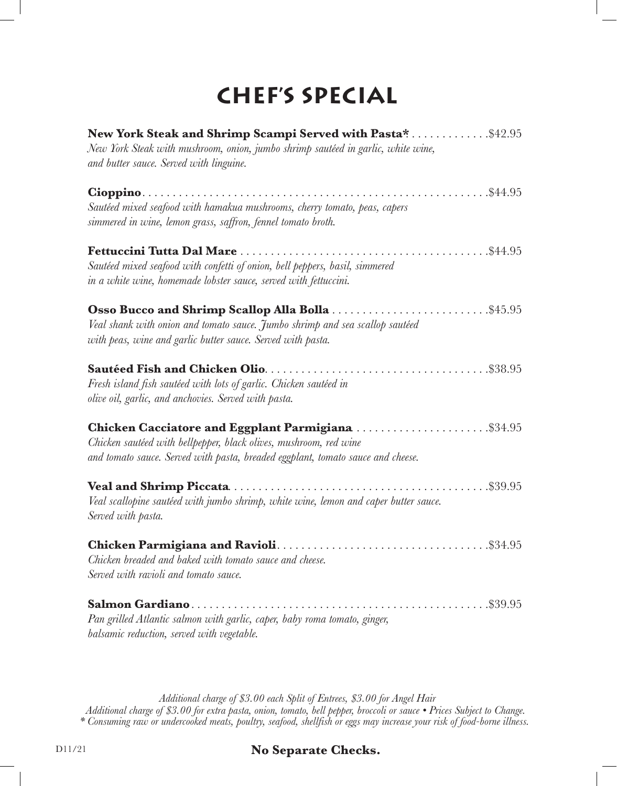# **CHEF'S SPECIAL**

| <b>New York Steak and Shrimp Scampi Served with Pasta*</b> \$42.95<br>New York Steak with mushroom, onion, jumbo shrimp sautéed in garlic, white wine,<br>and butter sauce. Served with linguine.          |
|------------------------------------------------------------------------------------------------------------------------------------------------------------------------------------------------------------|
|                                                                                                                                                                                                            |
| Sautéed mixed seafood with hamakua mushrooms, cherry tomato, peas, capers<br>simmered in wine, lemon grass, saffron, fennel tomato broth.                                                                  |
| \$44.95<br>Sautéed mixed seafood with confetti of onion, bell peppers, basil, simmered<br>in a white wine, homemade lobster sauce, served with fettuccini.                                                 |
| Osso Bucco and Shrimp Scallop Alla Bolla<br>\$45.95<br>Veal shank with onion and tomato sauce. Jumbo shrimp and sea scallop sautéed<br>with peas, wine and garlic butter sauce. Served with pasta.         |
| Fresh island fish sautéed with lots of garlic. Chicken sautéed in<br>olive oil, garlic, and anchovies. Served with pasta.                                                                                  |
| Chicken Cacciatore and Eggplant Parmigiana \$34.95<br>Chicken sautéed with bellpepper, black olives, mushroom, red wine<br>and tomato sauce. Served with pasta, breaded eggplant, tomato sauce and cheese. |
| Veal scallopine sautéed with jumbo shrimp, white wine, lemon and caper butter sauce.<br>Served with pasta.                                                                                                 |
| Chicken breaded and baked with tomato sauce and cheese.<br>Served with ravioli and tomato sauce.                                                                                                           |
| \$39.95<br>Pan grilled Atlantic salmon with garlic, caper, baby roma tomato, ginger,<br>balsamic reduction, served with vegetable.                                                                         |

*Additional charge of \$3.00 each Split of Entrees, \$3.00 for Angel Hair Additional charge of \$3.00 for extra pasta, onion, tomato, bell pepper, broccoli or sauce • Prices Subject to Change. \* Consuming raw or undercooked meats, poultry, seafood, shellfish or eggs may increase your risk of food-borne illness.*